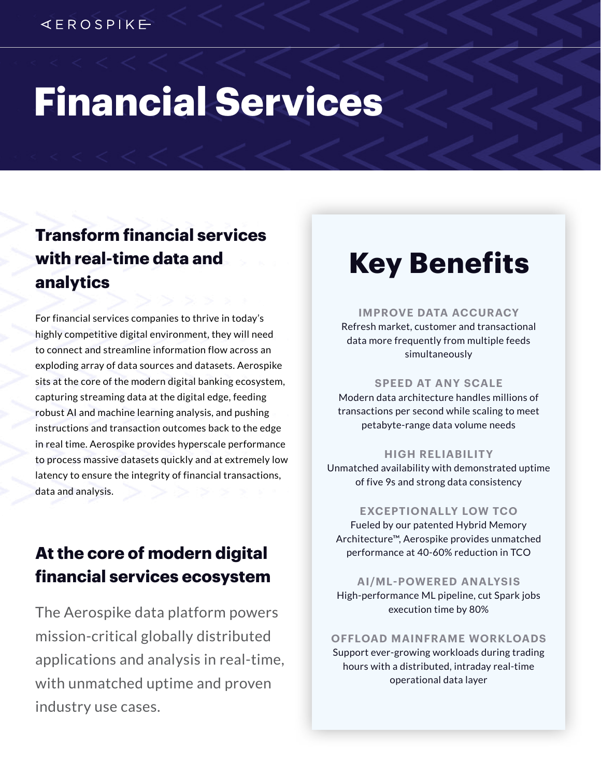# **Financial Services**

## **Transform financial services with real-time data and analytics**

For financial services companies to thrive in today's highly competitive digital environment, they will need to connect and streamline information flow across an exploding array of data sources and datasets. Aerospike sits at the core of the modern digital banking ecosystem, capturing streaming data at the digital edge, feeding robust AI and machine learning analysis, and pushing instructions and transaction outcomes back to the edge in real time. Aerospike provides hyperscale performance to process massive datasets quickly and at extremely low latency to ensure the integrity of financial transactions, data and analysis.

## **At the core of modern digital financial services ecosystem**

The Aerospike data platform powers mission-critical globally distributed applications and analysis in real-time, with unmatched uptime and proven industry use cases.

## **Key Benefits**

#### **IMPROVE DATA ACCURACY**

Refresh market, customer and transactional data more frequently from multiple feeds simultaneously

#### **SPEED AT ANY SCALE**

Modern data architecture handles millions of transactions per second while scaling to meet petabyte-range data volume needs

#### **HIGH RELIABILITY**

Unmatched availability with demonstrated uptime of five 9s and strong data consistency

#### **EXCEPTIONALLY LOW TCO**

Fueled by our patented Hybrid Memory Architecture™, Aerospike provides unmatched performance at 40-60% reduction in TCO

**AI/ML-POWERED ANALYSIS** High-performance ML pipeline, cut Spark jobs execution time by 80%

#### **OFFLOAD MAINFRAME WORKLOADS**

Support ever-growing workloads during trading hours with a distributed, intraday real-time operational data layer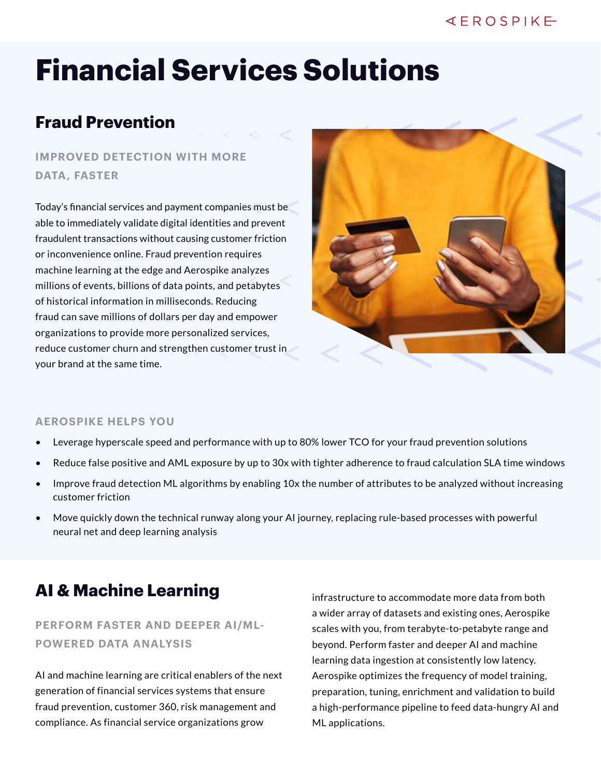#### $4EROSPIKE$

## **Financial Services Solutions**

## **Fraud Prevention**

### **IMPROVED DETECTION WITH MORE DATA, FASTER**

Today's financial services and payment companies must be able to immediately validate digital identities and prevent fraudulent transactions without causing customer friction or inconvenience online. Fraud prevention requires machine learning at the edge and Aerospike analyzes millions of events, billions of data points, and petabytes of historical information in milliseconds. Reducing fraud can save millions of dollars per day and empower organizations to provide more personalized services, reduce customer churn and strengthen customer trust in your brand at the same time.



#### **AEROSPIKE HELPS YOU**

- Leverage hyperscale speed and performance with up to 80% lower TCO for your fraud prevention solutions
- Reduce false positive and AML exposure by up to 30x with tighter adherence to fraud calculation SLA time windows
- Improve fraud detection ML algorithms by enabling 10x the number of attributes to be analyzed without increasing customer friction
- Move quickly down the technical runway along your AI journey, replacing rule-based processes with powerful neural net and deep learning analysis

### **AI & Machine Learning**

#### **PERFORM FASTER AND DEEPER AI/ML-POWERED DATA ANALYSIS**

AI and machine learning are critical enablers of the next generation of financial services systems that ensure fraud prevention, customer 360, risk management and compliance. As financial service organizations grow

infrastructure to accommodate more data from both a wider array of datasets and existing ones, Aerospike scales with you, from terabyte-to-petabyte range and beyond. Perform faster and deeper AI and machine learning data ingestion at consistently low latency. Aerospike optimizes the frequency of model training, preparation, tuning, enrichment and validation to build a high-performance pipeline to feed data-hungry AI and ML applications.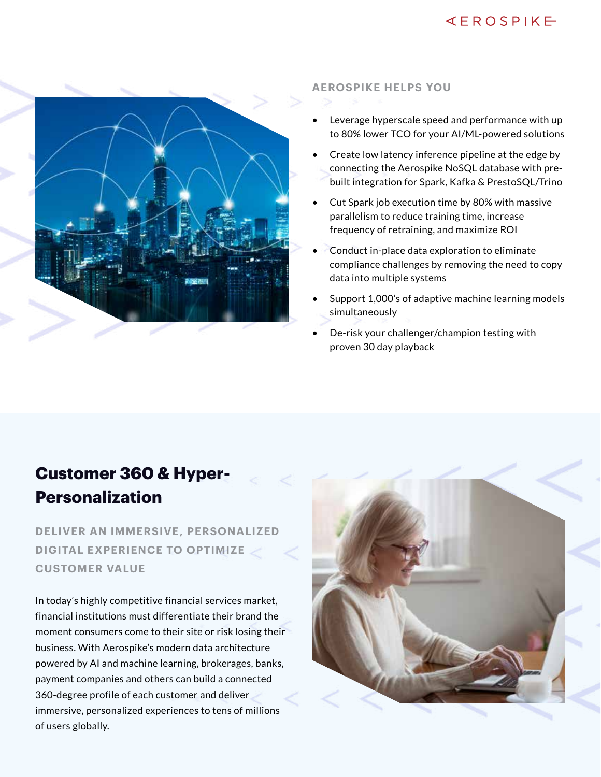### $4EROSPIKE$



#### **AEROSPIKE HELPS YOU**

- Leverage hyperscale speed and performance with up to 80% lower TCO for your AI/ML-powered solutions
- Create low latency inference pipeline at the edge by connecting the Aerospike NoSQL database with prebuilt integration for Spark, Kafka & PrestoSQL/Trino
- Cut Spark job execution time by 80% with massive parallelism to reduce training time, increase frequency of retraining, and maximize ROI
- Conduct in-place data exploration to eliminate compliance challenges by removing the need to copy data into multiple systems
- Support 1,000's of adaptive machine learning models simultaneously
- De-risk your challenger/champion testing with proven 30 day playback

## **Customer 360 & Hyper-Personalization**

**DELIVER AN IMMERSIVE, PERSONALIZED DIGITAL EXPERIENCE TO OPTIMIZE CUSTOMER VALUE**

In today's highly competitive financial services market, financial institutions must differentiate their brand the moment consumers come to their site or risk losing their business. With Aerospike's modern data architecture powered by AI and machine learning, brokerages, banks, payment companies and others can build a connected 360-degree profile of each customer and deliver immersive, personalized experiences to tens of millions of users globally.

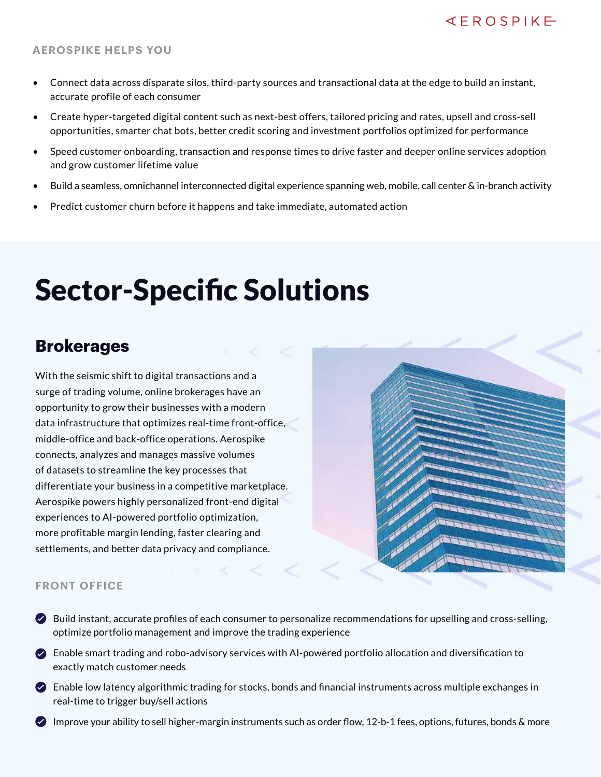#### **AEROSPIKE HELPS YOU**

- Connect data across disparate silos, third-party sources and transactional data at the edge to build an instant, accurate profile of each consumer
- Create hyper-targeted digital content such as next-best offers, tailored pricing and rates, upsell and cross-sell opportunities, smarter chat bots, better credit scoring and investment portfolios optimized for performance
- Speed customer onboarding, transaction and response times to drive faster and deeper online services adoption and grow customer lifetime value
- Build a seamless, omnichannel interconnected digital experience spanning web, mobile, call center & in-branch activity
- Predict customer churn before it happens and take immediate, automated action

## Sector-Specific Solutions

## **Brokerages**

With the seismic shift to digital transactions and a surge of trading volume, online brokerages have an opportunity to grow their businesses with a modern data infrastructure that optimizes real-time front-office, middle-office and back-office operations. Aerospike connects, analyzes and manages massive volumes of datasets to streamline the key processes that differentiate your business in a competitive marketplace. Aerospike powers highly personalized front-end digital experiences to AI-powered portfolio optimization, more profitable margin lending, faster clearing and settlements, and better data privacy and compliance.

|  | <b>START OF</b>  |                       |  |
|--|------------------|-----------------------|--|
|  |                  |                       |  |
|  |                  |                       |  |
|  |                  |                       |  |
|  |                  | <b>Contractor</b>     |  |
|  | T                |                       |  |
|  |                  | <b>CONTRACTOR</b>     |  |
|  | <b>The first</b> | <b>Carl Carl Carl</b> |  |
|  |                  |                       |  |
|  |                  |                       |  |
|  |                  |                       |  |
|  |                  |                       |  |
|  |                  |                       |  |
|  |                  | je serasaran          |  |
|  |                  | <b>THE REPORT</b>     |  |
|  |                  |                       |  |
|  |                  |                       |  |

#### **FRONT OFFICE**

- Build instant, accurate profiles of each consumer to personalize recommendations for upselling and cross-selling, optimize portfolio management and improve the trading experience
- Enable smart trading and robo-advisory services with AI-powered portfolio allocation and diversification to exactly match customer needs
- $\bullet$  Enable low latency algorithmic trading for stocks, bonds and financial instruments across multiple exchanges in real-time to trigger buy/sell actions
- $\bullet$  Improve your ability to sell higher-margin instruments such as order flow, 12-b-1 fees, options, futures, bonds & more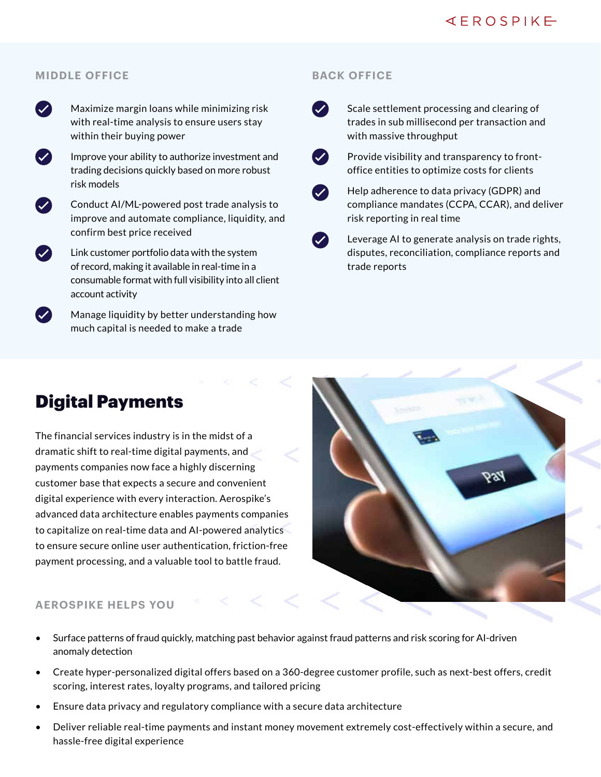#### **MIDDLE OFFICE**



 $(\vee)$ 

Maximize margin loans while minimizing risk with real-time analysis to ensure users stay within their buying power



Conduct AI/ML-powered post trade analysis to improve and automate compliance, liquidity, and confirm best price received

- Link customer portfolio data with the system of record, making it available in real-time in a consumable format with full visibility into all client account activity
- Manage liquidity by better understanding how much capital is needed to make a trade

#### **BACK OFFICE**



Scale settlement processing and clearing of trades in sub millisecond per transaction and with massive throughput



Provide visibility and transparency to frontoffice entities to optimize costs for clients

 $\boldsymbol{\omega}$ 

 $\boldsymbol{\mathcal{L}}$ 

Help adherence to data privacy (GDPR) and compliance mandates (CCPA, CCAR), and deliver risk reporting in real time

Leverage AI to generate analysis on trade rights, disputes, reconciliation, compliance reports and trade reports

### Digital Payments

The financial services industry is in the midst of a dramatic shift to real-time digital payments, and payments companies now face a highly discerning customer base that expects a secure and convenient digital experience with every interaction. Aerospike's advanced data architecture enables payments companies to capitalize on real-time data and AI-powered analytics to ensure secure online user authentication, friction-free payment processing, and a valuable tool to battle fraud.



#### **AEROSPIKE HELPS YOU**

- Surface patterns of fraud quickly, matching past behavior against fraud patterns and risk scoring for AI-driven anomaly detection
- Create hyper-personalized digital offers based on a 360-degree customer profile, such as next-best offers, credit scoring, interest rates, loyalty programs, and tailored pricing
- Ensure data privacy and regulatory compliance with a secure data architecture
- Deliver reliable real-time payments and instant money movement extremely cost-effectively within a secure, and hassle-free digital experience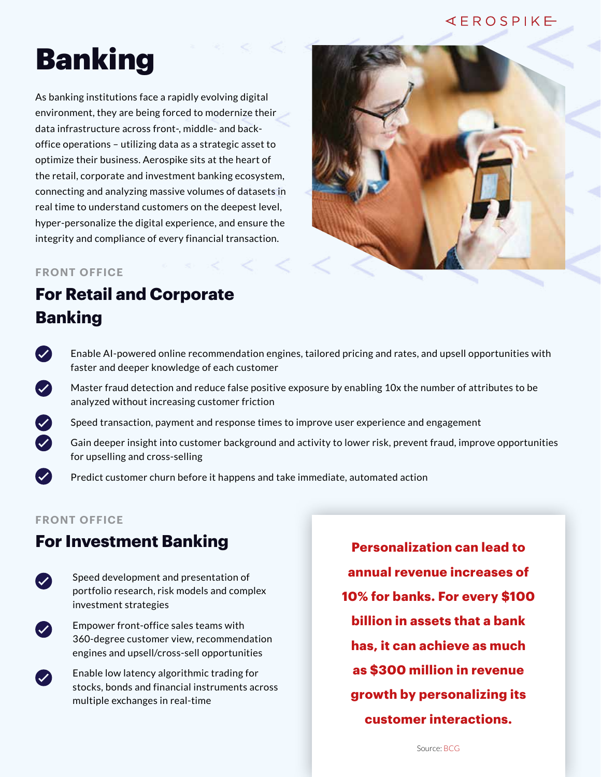#### $4EROSPIKE$

## Banking

As banking institutions face a rapidly evolving digital environment, they are being forced to modernize their data infrastructure across front-, middle- and backoffice operations – utilizing data as a strategic asset to optimize their business. Aerospike sits at the heart of the retail, corporate and investment banking ecosystem, connecting and analyzing massive volumes of datasets in real time to understand customers on the deepest level, hyper-personalize the digital experience, and ensure the integrity and compliance of every financial transaction.



#### **FRONT OFFICE**

## **For Retail and Corporate Banking**

- $\left($ Enable AI-powered online recommendation engines, tailored pricing and rates, and upsell opportunities with faster and deeper knowledge of each customer
- $\bullet$ Master fraud detection and reduce false positive exposure by enabling 10x the number of attributes to be analyzed without increasing customer friction
	- Speed transaction, payment and response times to improve user experience and engagement
	- Gain deeper insight into customer background and activity to lower risk, prevent fraud, improve opportunities for upselling and cross-selling
	- Predict customer churn before it happens and take immediate, automated action

#### **FRONT OFFICE**

 $\bullet$  $\boldsymbol{\mathcal{L}}$ 

 $\mathcal{L}$ 

 $\left( \bigvee \right)$ 

### **For Investment Banking**

- Speed development and presentation of  $\boldsymbol{\mathcal{J}}$ portfolio research, risk models and complex investment strategies
	- Empower front-office sales teams with 360-degree customer view, recommendation engines and upsell/cross-sell opportunities
		- Enable low latency algorithmic trading for stocks, bonds and financial instruments across multiple exchanges in real-time

**Personalization can lead to annual revenue increases of 10% for banks. For every \$100 billion in assets that a bank has, it can achieve as much as \$300 million in revenue growth by personalizing its customer interactions.**